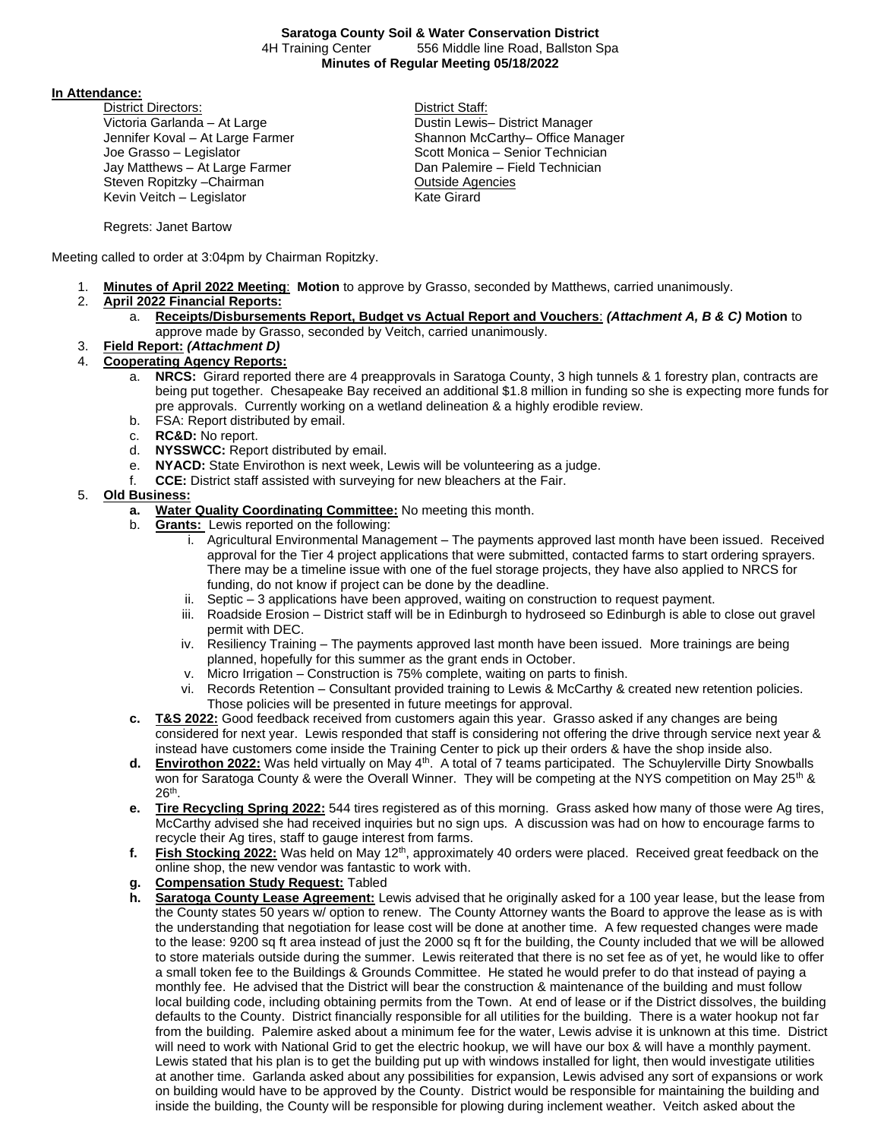**In Attendance:** 

District Directors: District Staff: Victoria Garlanda – At Large **Dustin Lewis– District Manager** District Manager Joe Grasso – Legislator **Scott Monica – Senior Technician** Scott Monica – Senior Technician Jay Matthews – At Large Farmer **Dan Palemire – Field Technician** Steven Ropitzky – Chairman **Outside Agencies** Kevin Veitch – Legislator Kevin Veitch – Legislator

Jennifer Koval – At Large Farmer Shannon McCarthy– Office Manager

Regrets: Janet Bartow

Meeting called to order at 3:04pm by Chairman Ropitzky.

- 1. **Minutes of April 2022 Meeting**: **Motion** to approve by Grasso, seconded by Matthews, carried unanimously.
- 2. **April 2022 Financial Reports:**
	- a. **Receipts/Disbursements Report, Budget vs Actual Report and Vouchers**: *(Attachment A, B & C)* **Motion** to approve made by Grasso, seconded by Veitch, carried unanimously.
- 3. **Field Report:** *(Attachment D)*
- 4. **Cooperating Agency Reports:**
	- a. **NRCS:** Girard reported there are 4 preapprovals in Saratoga County, 3 high tunnels & 1 forestry plan, contracts are being put together. Chesapeake Bay received an additional \$1.8 million in funding so she is expecting more funds for pre approvals. Currently working on a wetland delineation & a highly erodible review.
	- b. FSA: Report distributed by email.
	- c. **RC&D:** No report.
	- d. **NYSSWCC:** Report distributed by email.
	- e. **NYACD:** State Envirothon is next week, Lewis will be volunteering as a judge.
	- f. **CCE:** District staff assisted with surveying for new bleachers at the Fair.

## 5. **Old Business:**

- **a. Water Quality Coordinating Committee:** No meeting this month.
- b. **Grants:** Lewis reported on the following:
	- i. Agricultural Environmental Management The payments approved last month have been issued. Received approval for the Tier 4 project applications that were submitted, contacted farms to start ordering sprayers. There may be a timeline issue with one of the fuel storage projects, they have also applied to NRCS for funding, do not know if project can be done by the deadline.
	- ii. Septic 3 applications have been approved, waiting on construction to request payment.
	- iii. Roadside Erosion District staff will be in Edinburgh to hydroseed so Edinburgh is able to close out gravel permit with DEC.
	- iv. Resiliency Training The payments approved last month have been issued. More trainings are being planned, hopefully for this summer as the grant ends in October.
	- v. Micro Irrigation Construction is 75% complete, waiting on parts to finish.
	- vi. Records Retention Consultant provided training to Lewis & McCarthy & created new retention policies. Those policies will be presented in future meetings for approval.
- **c. T&S 2022:** Good feedback received from customers again this year. Grasso asked if any changes are being considered for next year. Lewis responded that staff is considering not offering the drive through service next year & instead have customers come inside the Training Center to pick up their orders & have the shop inside also.
- **d. Envirothon 2022:** Was held virtually on May 4th. A total of 7 teams participated. The Schuylerville Dirty Snowballs won for Saratoga County & were the Overall Winner. They will be competing at the NYS competition on May 25<sup>th</sup> & 26th .
- **e. Tire Recycling Spring 2022:** 544 tires registered as of this morning. Grass asked how many of those were Ag tires, McCarthy advised she had received inquiries but no sign ups. A discussion was had on how to encourage farms to recycle their Ag tires, staff to gauge interest from farms.
- f. Fish Stocking 2022: Was held on May 12<sup>th</sup>, approximately 40 orders were placed. Received great feedback on the online shop, the new vendor was fantastic to work with.
- **g. Compensation Study Request:** Tabled
- **h. Saratoga County Lease Agreement:** Lewis advised that he originally asked for a 100 year lease, but the lease from the County states 50 years w/ option to renew. The County Attorney wants the Board to approve the lease as is with the understanding that negotiation for lease cost will be done at another time. A few requested changes were made to the lease: 9200 sq ft area instead of just the 2000 sq ft for the building, the County included that we will be allowed to store materials outside during the summer. Lewis reiterated that there is no set fee as of yet, he would like to offer a small token fee to the Buildings & Grounds Committee. He stated he would prefer to do that instead of paying a monthly fee. He advised that the District will bear the construction & maintenance of the building and must follow local building code, including obtaining permits from the Town. At end of lease or if the District dissolves, the building defaults to the County. District financially responsible for all utilities for the building. There is a water hookup not far from the building. Palemire asked about a minimum fee for the water, Lewis advise it is unknown at this time. District will need to work with National Grid to get the electric hookup, we will have our box & will have a monthly payment. Lewis stated that his plan is to get the building put up with windows installed for light, then would investigate utilities at another time. Garlanda asked about any possibilities for expansion, Lewis advised any sort of expansions or work on building would have to be approved by the County. District would be responsible for maintaining the building and inside the building, the County will be responsible for plowing during inclement weather. Veitch asked about the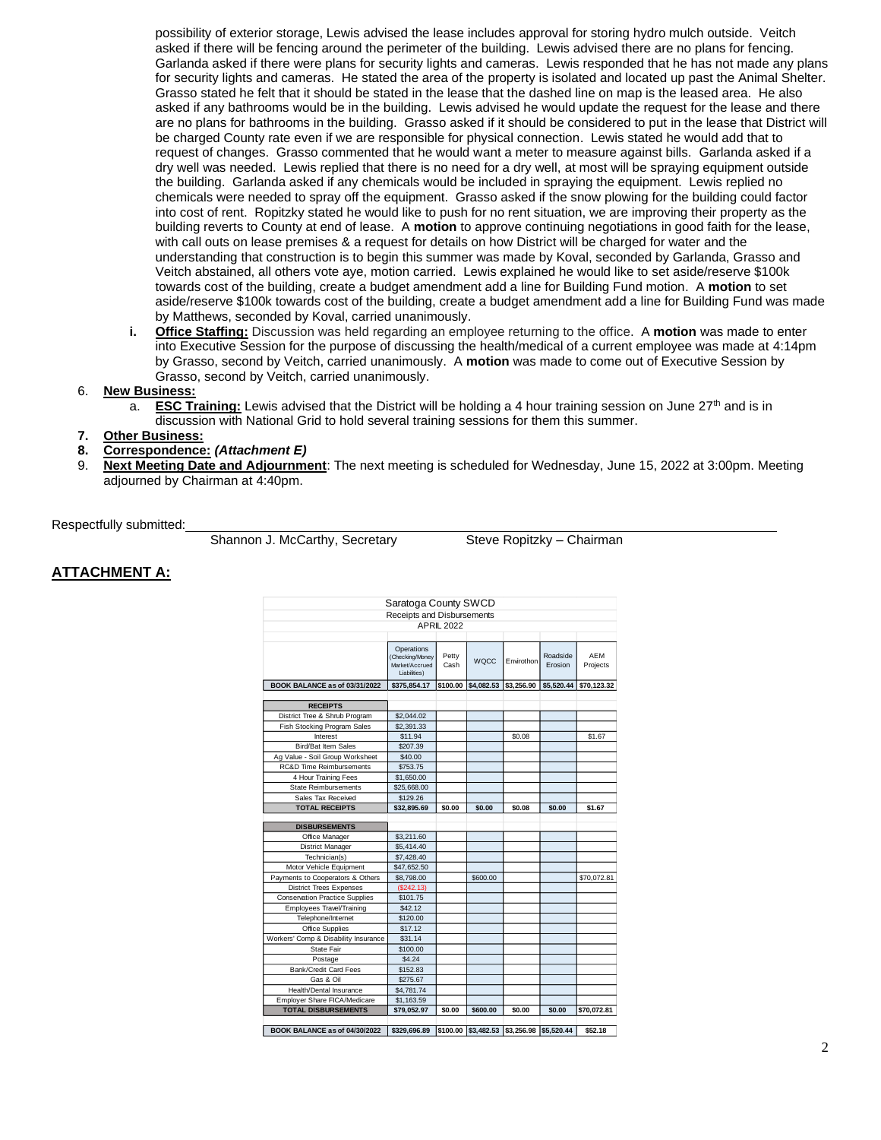possibility of exterior storage, Lewis advised the lease includes approval for storing hydro mulch outside. Veitch asked if there will be fencing around the perimeter of the building. Lewis advised there are no plans for fencing. Garlanda asked if there were plans for security lights and cameras. Lewis responded that he has not made any plans for security lights and cameras. He stated the area of the property is isolated and located up past the Animal Shelter. Grasso stated he felt that it should be stated in the lease that the dashed line on map is the leased area. He also asked if any bathrooms would be in the building. Lewis advised he would update the request for the lease and there are no plans for bathrooms in the building. Grasso asked if it should be considered to put in the lease that District will be charged County rate even if we are responsible for physical connection. Lewis stated he would add that to request of changes. Grasso commented that he would want a meter to measure against bills. Garlanda asked if a dry well was needed. Lewis replied that there is no need for a dry well, at most will be spraying equipment outside the building. Garlanda asked if any chemicals would be included in spraying the equipment. Lewis replied no chemicals were needed to spray off the equipment. Grasso asked if the snow plowing for the building could factor into cost of rent. Ropitzky stated he would like to push for no rent situation, we are improving their property as the building reverts to County at end of lease. A **motion** to approve continuing negotiations in good faith for the lease, with call outs on lease premises & a request for details on how District will be charged for water and the understanding that construction is to begin this summer was made by Koval, seconded by Garlanda, Grasso and Veitch abstained, all others vote aye, motion carried. Lewis explained he would like to set aside/reserve \$100k towards cost of the building, create a budget amendment add a line for Building Fund motion. A **motion** to set aside/reserve \$100k towards cost of the building, create a budget amendment add a line for Building Fund was made by Matthews, seconded by Koval, carried unanimously.

**i. Office Staffing:** Discussion was held regarding an employee returning to the office. A **motion** was made to enter into Executive Session for the purpose of discussing the health/medical of a current employee was made at 4:14pm by Grasso, second by Veitch, carried unanimously. A **motion** was made to come out of Executive Session by Grasso, second by Veitch, carried unanimously.

#### 6. **New Business:**

a. **ESC Training:** Lewis advised that the District will be holding a 4 hour training session on June  $27<sup>th</sup>$  and is in discussion with National Grid to hold several training sessions for them this summer.

## **7. Other Business:**

- **8. Correspondence:** *(Attachment E)*
- 9. **Next Meeting Date and Adjournment**: The next meeting is scheduled for Wednesday, June 15, 2022 at 3:00pm. Meeting adjourned by Chairman at 4:40pm.

Respectfully submitted:

Shannon J. McCarthy, Secretary Steve Ropitzky – Chairman

### **ATTACHMENT A:**

| Saratoga County SWCD                  |                                                                 |                   |             |                                           |                     |                 |  |  |
|---------------------------------------|-----------------------------------------------------------------|-------------------|-------------|-------------------------------------------|---------------------|-----------------|--|--|
| Receipts and Disbursements            |                                                                 |                   |             |                                           |                     |                 |  |  |
|                                       |                                                                 | <b>APRIL 2022</b> |             |                                           |                     |                 |  |  |
|                                       |                                                                 |                   |             |                                           |                     |                 |  |  |
|                                       | Operations<br>(Checking/Money<br>Market/Accrued<br>Liabilities) | Petty<br>Cash     | <b>WQCC</b> | Envirothon                                | Roadside<br>Erosion | AEM<br>Projects |  |  |
| BOOK BALANCE as of 03/31/2022         | \$375,854.17                                                    | \$100.00          | \$4,082.53  | \$3,256.90                                | \$5,520.44          | \$70,123.32     |  |  |
|                                       |                                                                 |                   |             |                                           |                     |                 |  |  |
| <b>RECEIPTS</b>                       |                                                                 |                   |             |                                           |                     |                 |  |  |
| District Tree & Shrub Program         | \$2,044.02                                                      |                   |             |                                           |                     |                 |  |  |
| Fish Stocking Program Sales           | \$2,391.33                                                      |                   |             |                                           |                     |                 |  |  |
| Interest                              | \$11.94                                                         |                   |             | \$0.08                                    |                     | \$1.67          |  |  |
| <b>Bird/Bat Item Sales</b>            | \$207.39                                                        |                   |             |                                           |                     |                 |  |  |
| Ag Value - Soil Group Worksheet       | \$40.00                                                         |                   |             |                                           |                     |                 |  |  |
| <b>RC&amp;D Time Reimbursements</b>   | \$753.75                                                        |                   |             |                                           |                     |                 |  |  |
| 4 Hour Training Fees                  | \$1,650.00                                                      |                   |             |                                           |                     |                 |  |  |
| <b>State Reimbursements</b>           | \$25,668.00                                                     |                   |             |                                           |                     |                 |  |  |
| Sales Tax Received                    | \$129.26                                                        |                   |             |                                           |                     |                 |  |  |
| <b>TOTAL RECEIPTS</b>                 | \$32,895.69                                                     | \$0.00            | \$0.00      | \$0.08                                    | \$0.00              | \$1.67          |  |  |
|                                       |                                                                 |                   |             |                                           |                     |                 |  |  |
| <b>DISBURSEMENTS</b>                  |                                                                 |                   |             |                                           |                     |                 |  |  |
| Office Manager                        | \$3,211.60                                                      |                   |             |                                           |                     |                 |  |  |
| District Manager                      | \$5,414.40                                                      |                   |             |                                           |                     |                 |  |  |
| Technician(s)                         | \$7,428.40                                                      |                   |             |                                           |                     |                 |  |  |
| Motor Vehicle Equipment               | \$47,652.50                                                     |                   |             |                                           |                     |                 |  |  |
| Payments to Cooperators & Others      | \$8,798.00                                                      |                   | \$600.00    |                                           |                     | \$70,072.81     |  |  |
| <b>District Trees Expenses</b>        | (\$242.13)                                                      |                   |             |                                           |                     |                 |  |  |
| <b>Conservation Practice Supplies</b> | \$101.75                                                        |                   |             |                                           |                     |                 |  |  |
| Employees Travel/Training             | \$42.12                                                         |                   |             |                                           |                     |                 |  |  |
| Telephone/Internet                    | \$120.00                                                        |                   |             |                                           |                     |                 |  |  |
| Office Supplies                       | \$17.12                                                         |                   |             |                                           |                     |                 |  |  |
| Workers' Comp & Disability Insurance  | \$31.14                                                         |                   |             |                                           |                     |                 |  |  |
| <b>State Fair</b>                     | \$100.00                                                        |                   |             |                                           |                     |                 |  |  |
| Postage                               | \$4.24                                                          |                   |             |                                           |                     |                 |  |  |
| Bank/Credit Card Fees                 | \$152.83                                                        |                   |             |                                           |                     |                 |  |  |
| Gas & Oil                             | \$275.67                                                        |                   |             |                                           |                     |                 |  |  |
| Health/Dental Insurance               | \$4,781.74                                                      |                   |             |                                           |                     |                 |  |  |
| Employer Share FICA/Medicare          | \$1,163.59                                                      |                   |             |                                           |                     |                 |  |  |
| <b>TOTAL DISBURSEMENTS</b>            | \$79,052.97                                                     | \$0.00            | \$600.00    | \$0.00                                    | \$0.00              | \$70,072.81     |  |  |
|                                       |                                                                 |                   |             |                                           |                     |                 |  |  |
| BOOK BALANCE as of 04/30/2022         | \$329.696.89                                                    |                   |             | \$100.00 \$3.482.53 \$3.256.98 \$5.520.44 |                     | \$52.18         |  |  |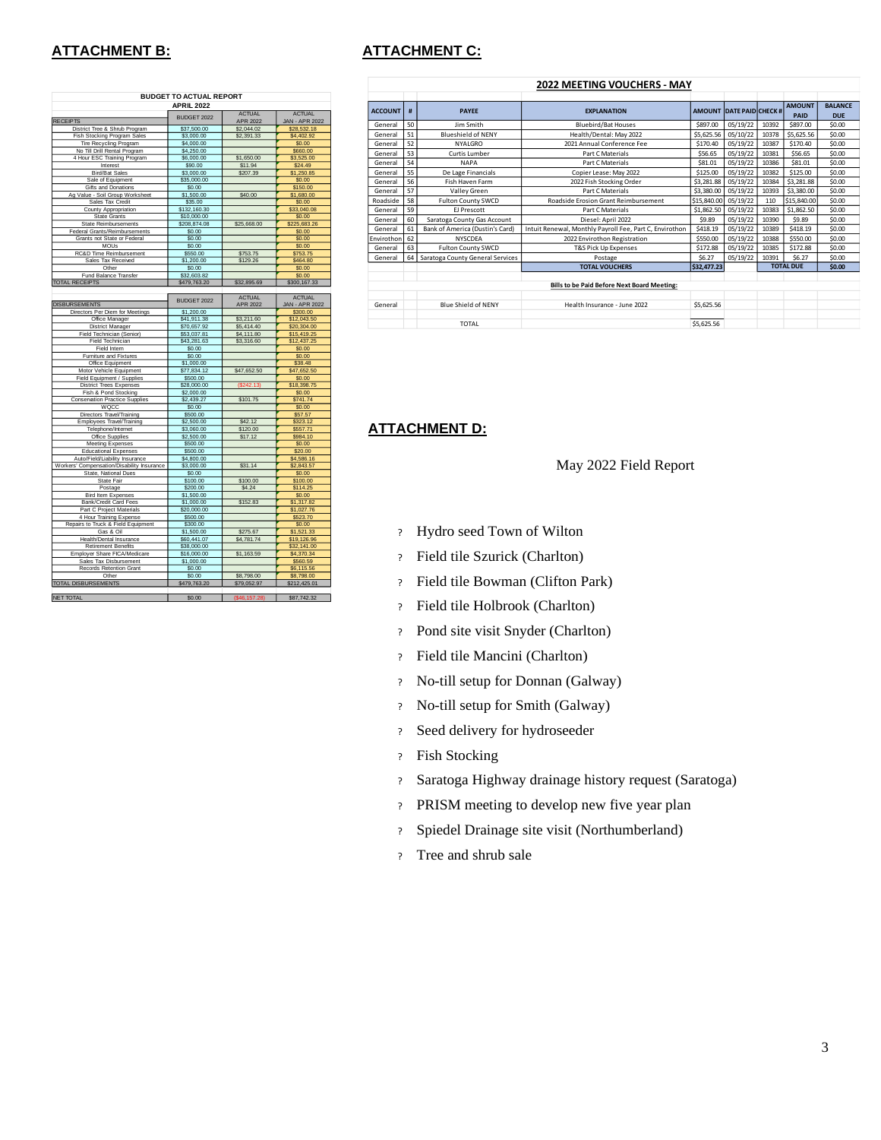## **ATTACHMENT B: ATTACHMENT C:**

|                                            | <b>BUDGET TO ACTUAL REPORT</b> |                |                       |  |  |  |  |  |
|--------------------------------------------|--------------------------------|----------------|-----------------------|--|--|--|--|--|
|                                            | <b>APRIL 2022</b>              | <b>ACTUAL</b>  | <b>ACTUAL</b>         |  |  |  |  |  |
| <b>RECEIPTS</b>                            | BUDGET 2022                    | APR 2022       | <b>JAN - APR 2022</b> |  |  |  |  |  |
| District Tree & Shrub Program              | \$37,500.00                    | \$2,044.02     | \$28,532.18           |  |  |  |  |  |
| <b>Fish Stocking Program Sales</b>         | \$3,000.00                     | \$2,391.33     | \$4,402.92            |  |  |  |  |  |
| <b>Tire Recycling Program</b>              | \$4,000.00                     |                | \$0.00                |  |  |  |  |  |
| No Till Drill Rental Program               | \$4,250.00                     |                | \$660.00              |  |  |  |  |  |
| 4 Hour ESC Training Program                | \$6,000.00                     | \$1,650.00     | \$3,525.00            |  |  |  |  |  |
| Interest                                   | \$90.00                        | \$11.94        | \$24.49               |  |  |  |  |  |
| <b>Bird/Bat Sales</b>                      | \$3,000.00                     | \$207.39       | \$1,250.85            |  |  |  |  |  |
| Sale of Equipment                          | \$35,000.00                    |                | \$0.00                |  |  |  |  |  |
| <b>Gifts and Donations</b>                 | \$0.00                         |                | \$150.00              |  |  |  |  |  |
| Ag Value - Soil Group Worksheet            | \$1,500.00                     | \$40.00        | \$1,680.00            |  |  |  |  |  |
| Sales Tax Credit                           | \$35.00                        |                | \$0.00                |  |  |  |  |  |
| County Appropriation                       | \$132,160,30                   |                | \$33,040.08           |  |  |  |  |  |
| <b>State Grants</b>                        | \$10,000.00                    |                | \$0.00                |  |  |  |  |  |
| <b>State Reimbursements</b>                | \$208,874.08                   | \$25,668.00    | \$225,683.26          |  |  |  |  |  |
| Federal Grants/Reimbursements              | \$0.00                         |                | \$0.00                |  |  |  |  |  |
| Grants not State or Federal                | \$0.00                         |                | \$0.00                |  |  |  |  |  |
| <b>MOUs</b><br>RC&D Time Reimbursement     | \$0.00<br>\$550.00             | \$753.75       | \$0.00<br>\$753.75    |  |  |  |  |  |
| Sales Tax Received                         | \$1,200.00                     | \$129.26       | \$464.80              |  |  |  |  |  |
| Other                                      | \$0.00                         |                | \$0.00                |  |  |  |  |  |
| Fund Balance Transfer                      | \$32,603.82                    |                | \$0.00                |  |  |  |  |  |
| <b>TOTAL RECEIPTS</b>                      | \$479,763.20                   | \$32,895.69    | \$300,167.33          |  |  |  |  |  |
|                                            |                                |                |                       |  |  |  |  |  |
|                                            |                                | <b>ACTUAL</b>  | <b>ACTUAL</b>         |  |  |  |  |  |
| <b>DISBURSEMENTS</b>                       | BUDGET 2022                    | APR 2022       | <b>JAN - APR 2022</b> |  |  |  |  |  |
| Directors Per Diem for Meetings            | \$1,200.00                     |                | \$300.00              |  |  |  |  |  |
| Office Manager                             | \$41,911.38                    | \$3,211.60     | \$12,043.50           |  |  |  |  |  |
| <b>District Manager</b>                    | \$70,657.92                    | \$5,414.40     | \$20,304.00           |  |  |  |  |  |
| Field Technician (Senior)                  | \$53,037.81                    | \$4,111.80     | \$15,419.25           |  |  |  |  |  |
| Field Technician                           | \$43.281.63                    | \$3.316.60     | \$12,437.25           |  |  |  |  |  |
| Field Intern                               | \$0.00                         |                | \$0.00                |  |  |  |  |  |
| Fumiture and Fixtures                      | \$0.00                         |                | \$0.00                |  |  |  |  |  |
| Office Equipment                           | \$1,000.00                     |                | \$38.48               |  |  |  |  |  |
| Motor Vehicle Equipment                    | \$77,834.12                    | \$47,652.50    | \$47,652.50           |  |  |  |  |  |
| Field Equipment / Supplies                 | \$500.00                       |                | \$0.00                |  |  |  |  |  |
| <b>District Trees Expenses</b>             | \$28,000.00                    | (S242.13)      | \$18,398.75           |  |  |  |  |  |
| Fish & Pond Stocking                       | \$2,000.00                     |                | \$0.00                |  |  |  |  |  |
| <b>Conservation Practice Supplies</b>      | \$2,439.27                     | \$101.75       | \$741.74              |  |  |  |  |  |
| WQCC                                       | \$0.00                         |                | \$0.00                |  |  |  |  |  |
| Directors Travel/Training                  | \$500.00                       |                | \$57.57               |  |  |  |  |  |
| Employees Travel/Training                  | \$2,500.00                     | \$42.12        | \$323.12              |  |  |  |  |  |
| Telephone/Internet                         | \$3,060.00                     | \$120.00       | \$557.71              |  |  |  |  |  |
| Office Supplies                            | \$2,500.00                     | \$17.12        | \$984.10              |  |  |  |  |  |
| <b>Meeting Expenses</b>                    | \$500.00                       |                | \$0.00                |  |  |  |  |  |
| <b>Educational Expenses</b>                | \$500.00                       |                | \$20.00               |  |  |  |  |  |
| Auto/Field/Liability Insurance             | \$4,800.00                     |                | \$4,586.16            |  |  |  |  |  |
| Workers' Compensation/Disability Insurance | \$3,000.00                     | \$31.14        | \$2,843.57            |  |  |  |  |  |
| State, National Dues<br>State Fair         | \$0.00<br>\$100.00             | \$100.00       | \$0.00<br>\$100.00    |  |  |  |  |  |
| Postage                                    | \$200.00                       | \$4.24         | \$114.25              |  |  |  |  |  |
| Bird Item Expenses                         | \$1,500.00                     |                | \$0.00                |  |  |  |  |  |
| Bank/Credit Card Fees                      | \$1,000.00                     | \$152.83       | \$1,317.82            |  |  |  |  |  |
| Part C Project Materials                   | \$20,000.00                    |                | \$1,027.76            |  |  |  |  |  |
| 4 Hour Training Expense                    | \$500.00                       |                | \$523.70              |  |  |  |  |  |
| Repairs to Truck & Field Equipment         | \$300.00                       |                | \$0.00                |  |  |  |  |  |
| Gas & Oil                                  | \$1,500.00                     | \$275.67       | \$1,521.33            |  |  |  |  |  |
| Health/Dental Insurance                    | \$60,441.07                    | \$4.781.74     | \$19,126.96           |  |  |  |  |  |
| <b>Retirement Benefits</b>                 | \$38,000.00                    |                | \$32,141.00           |  |  |  |  |  |
| Employer Share FICA/Medicare               | \$16,000.00                    | \$1,163.59     | \$4,370.34            |  |  |  |  |  |
| Sales Tax Disbursement                     | \$1,000.00                     |                | \$560.59              |  |  |  |  |  |
| Records Retention Grant                    | \$0.00                         |                | \$6,115.56            |  |  |  |  |  |
| Other                                      | \$0.00                         | \$8,798.00     | \$8,798.00            |  |  |  |  |  |
| <b>TOTAL DISBURSEMENTS</b>                 | \$479,763.20                   | \$79,052.97    | \$212,425.01          |  |  |  |  |  |
|                                            |                                |                |                       |  |  |  |  |  |
| <b>NET TOTAL</b>                           | \$0.00                         | (\$46, 157.28) | \$87,742.32           |  |  |  |  |  |

| <b>2022 MEETING VOUCHERS - MAY</b>          |                                         |                                  |                                                         |             |                                 |                  |               |                |
|---------------------------------------------|-----------------------------------------|----------------------------------|---------------------------------------------------------|-------------|---------------------------------|------------------|---------------|----------------|
|                                             |                                         |                                  |                                                         |             |                                 |                  |               |                |
| <b>ACCOUNT</b>                              | #<br><b>PAYEE</b><br><b>EXPLANATION</b> |                                  |                                                         |             | <b>AMOUNT DATE PAID CHECK #</b> |                  | <b>AMOUNT</b> | <b>BALANCE</b> |
|                                             |                                         |                                  |                                                         |             |                                 |                  | PAID          | <b>DUE</b>     |
| General                                     | 50                                      | lim Smith                        | <b>Bluebird/Bat Houses</b>                              | \$897.00    | 05/19/22                        | 10392            | \$897.00      | \$0.00         |
| General                                     | 51                                      | <b>Blueshield of NENY</b>        | Health/Dental: May 2022                                 | \$5,625.56  | 05/10/22                        | 10378            | \$5.625.56    | \$0.00         |
| General                                     | 52                                      | <b>NYALGRO</b>                   | 2021 Annual Conference Fee                              | \$170.40    | 05/19/22                        | 10387            | \$170.40      | \$0.00         |
| General                                     | 53                                      | Curtis Lumber                    | Part C Materials                                        | \$56.65     | 05/19/22                        | 10381            | \$56.65       | \$0.00         |
| General                                     | 54                                      | <b>NAPA</b>                      | Part C Materials                                        | \$81.01     | 05/19/22                        | 10386            | \$81.01       | \$0.00         |
| General                                     | 55                                      | De Lage Financials               | Copier Lease: May 2022                                  | \$125.00    | 05/19/22                        | 10382            | \$125.00      | \$0.00         |
| General                                     | 56                                      | Fish Haven Farm                  | 2022 Fish Stocking Order                                | \$3,281.88  | 05/19/22                        | 10384            | \$3,281.88    | \$0.00         |
| General                                     | 57                                      | Valley Green                     | Part C Materials                                        | \$3,380,00  | 05/19/22                        | 10393            | \$3,380.00    | \$0.00         |
| Roadside                                    | 58                                      | <b>Fulton County SWCD</b>        | <b>Roadside Frosion Grant Reimbursement</b>             | \$15,840.00 | 05/19/22                        | 110              | \$15,840.00   | \$0.00         |
| General                                     | 59                                      | EJ Prescott                      | Part C Materials                                        | \$1,862.50  | 05/19/22                        | 10383            | \$1,862.50    | \$0.00         |
| General                                     | 60                                      | Saratoga County Gas Account      | Diesel: April 2022                                      | \$9.89      | 05/19/22                        | 10390            | \$9.89        | \$0.00         |
| General                                     | 61                                      | Bank of America (Dustin's Card)  | Intuit Renewal, Monthly Payroll Fee, Part C, Envirothon | \$418.19    | 05/19/22                        | 10389            | \$418.19      | \$0.00         |
| Envirothon                                  | 62                                      | <b>NYSCDFA</b>                   | 2022 Envirothon Registration                            | \$550.00    | 05/19/22                        | 10388            | \$550.00      | \$0.00         |
| General                                     | 63                                      | <b>Fulton County SWCD</b>        | T&S Pick Up Expenses                                    | \$172.88    | 05/19/22                        | 10385            | \$172.88      | \$0.00         |
| General                                     | 64                                      | Saratoga County General Services | Postage                                                 | \$6.27      | 05/19/22                        | 10391            | \$6.27        | \$0.00         |
|                                             |                                         |                                  | <b>TOTAL VOUCHERS</b>                                   | \$32,477.23 |                                 | <b>TOTAL DUE</b> |               | \$0.00         |
|                                             |                                         |                                  |                                                         |             |                                 |                  |               |                |
| Bills to be Paid Before Next Board Meeting: |                                         |                                  |                                                         |             |                                 |                  |               |                |
|                                             |                                         |                                  |                                                         |             |                                 |                  |               |                |
| General                                     |                                         | <b>Blue Shield of NENY</b>       | Health Insurance - June 2022                            | \$5.625.56  |                                 |                  |               |                |
|                                             |                                         |                                  |                                                         |             |                                 |                  |               |                |
|                                             |                                         | <b>TOTAL</b>                     |                                                         | \$5,625.56  |                                 |                  |               |                |

**ATTACHMENT D:**

May 2022 Field Report

- ? Hydro seed Town of Wilton
- ? Field tile Szurick (Charlton)
- ? Field tile Bowman (Clifton Park)
- ? Field tile Holbrook (Charlton)
- ? Pond site visit Snyder (Charlton)
- ? Field tile Mancini (Charlton)
- ? No-till setup for Donnan (Galway)
- ? No-till setup for Smith (Galway)
- ? Seed delivery for hydroseeder
- ? Fish Stocking
- ? Saratoga Highway drainage history request (Saratoga)
- ? PRISM meeting to develop new five year plan
- ? Spiedel Drainage site visit (Northumberland)
- ? Tree and shrub sale